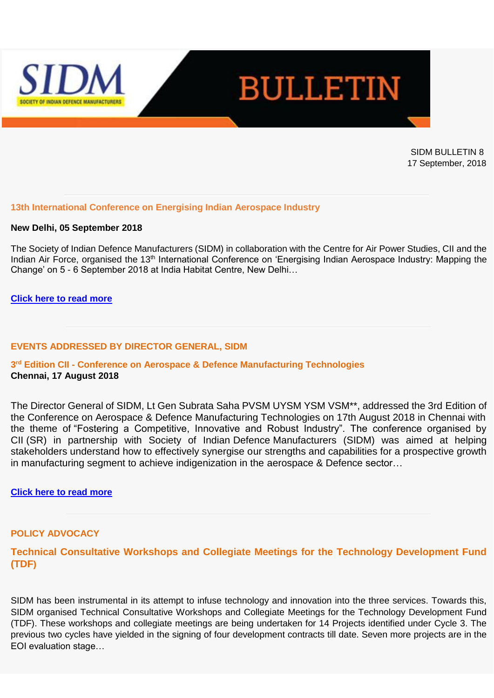



SIDM BULLETIN 8 17 September, 2018

### **13th International Conference on Energising Indian Aerospace Industry**

#### **New Delhi, 05 September 2018**

The Society of Indian Defence Manufacturers (SIDM) in collaboration with the Centre for Air Power Studies, CII and the Indian Air Force, organised the 13<sup>th</sup> International Conference on 'Energising Indian Aerospace Industry: Mapping the Change' on 5 - 6 September 2018 at India Habitat Centre, New Delhi…

### **[Click here to read more](https://www.sidm.in/13th-international-conference-energising-indian-aerospace-industry)**

### **EVENTS ADDRESSED BY DIRECTOR GENERAL, SIDM**

# **3 rd Edition CII - Conference on Aerospace & Defence Manufacturing Technologies Chennai, 17 August 2018**

The Director General of SIDM, Lt Gen Subrata Saha PVSM UYSM YSM VSM\*\*, addressed the 3rd Edition of the Conference on Aerospace & Defence Manufacturing Technologies on 17th August 2018 in Chennai with the theme of "Fostering a Competitive, Innovative and Robust Industry". The conference organised by CII (SR) in partnership with Society of Indian Defence Manufacturers (SIDM) was aimed at helping stakeholders understand how to effectively synergise our strengths and capabilities for a prospective growth in manufacturing segment to achieve indigenization in the aerospace & Defence sector…

#### **[Click here to read more](https://www.sidm.in/3rd-edition-conference-aerospace-defence-manufacturing-technologies)**

### **POLICY ADVOCACY**

# **Technical Consultative Workshops and Collegiate Meetings for the Technology Development Fund (TDF)**

SIDM has been instrumental in its attempt to infuse technology and innovation into the three services. Towards this, SIDM organised Technical Consultative Workshops and Collegiate Meetings for the Technology Development Fund (TDF). These workshops and collegiate meetings are being undertaken for 14 Projects identified under Cycle 3. The previous two cycles have yielded in the signing of four development contracts till date. Seven more projects are in the EOI evaluation stage…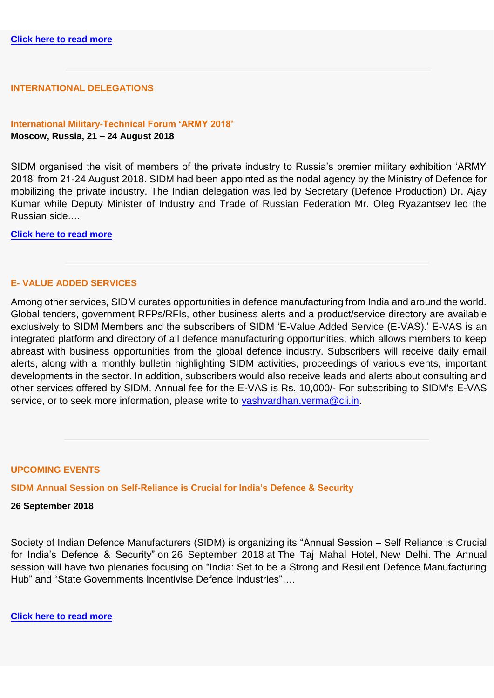## **INTERNATIONAL DELEGATIONS**

### **International Military-Technical Forum 'ARMY 2018' Moscow, Russia, 21 – 24 August 2018**

SIDM organised the visit of members of the private industry to Russia's premier military exhibition 'ARMY 2018' from 21-24 August 2018. SIDM had been appointed as the nodal agency by the Ministry of Defence for mobilizing the private industry. The Indian delegation was led by Secretary (Defence Production) Dr. Ajay Kumar while Deputy Minister of Industry and Trade of Russian Federation Mr. Oleg Ryazantsev led the Russian side….

**[Click here to read more](https://www.sidm.in/international-military-technical-forum-%E2%80%98army-2018%E2%80%99)**

### **E- VALUE ADDED SERVICES**

Among other services, SIDM curates opportunities in defence manufacturing from India and around the world. Global tenders, government RFPs/RFIs, other business alerts and a product/service directory are available exclusively to SIDM Members and the subscribers of SIDM 'E-Value Added Service (E-VAS).' E-VAS is an integrated platform and directory of all defence manufacturing opportunities, which allows members to keep abreast with business opportunities from the global defence industry. Subscribers will receive daily email alerts, along with a monthly bulletin highlighting SIDM activities, proceedings of various events, important developments in the sector. In addition, subscribers would also receive leads and alerts about consulting and other services offered by SIDM. Annual fee for the E-VAS is Rs. 10,000/- For subscribing to SIDM's E-VAS service, or to seek more information, please write to vashvardhan.verma@cii.in.

#### **UPCOMING EVENTS**

**SIDM Annual Session on Self-Reliance is Crucial for India's Defence & Security**

#### **26 September 2018**

Society of Indian Defence Manufacturers (SIDM) is organizing its "Annual Session – Self Reliance is Crucial for India's Defence & Security" on 26 September 2018 at The Taj Mahal Hotel, New Delhi. The Annual session will have two plenaries focusing on "India: Set to be a Strong and Resilient Defence Manufacturing Hub" and "State Governments Incentivise Defence Industries"….

**[Click here to read more](https://www.sidm.in/events/sidm-annual-session-self-reliance-crucial-india%E2%80%99s-defence-security)**